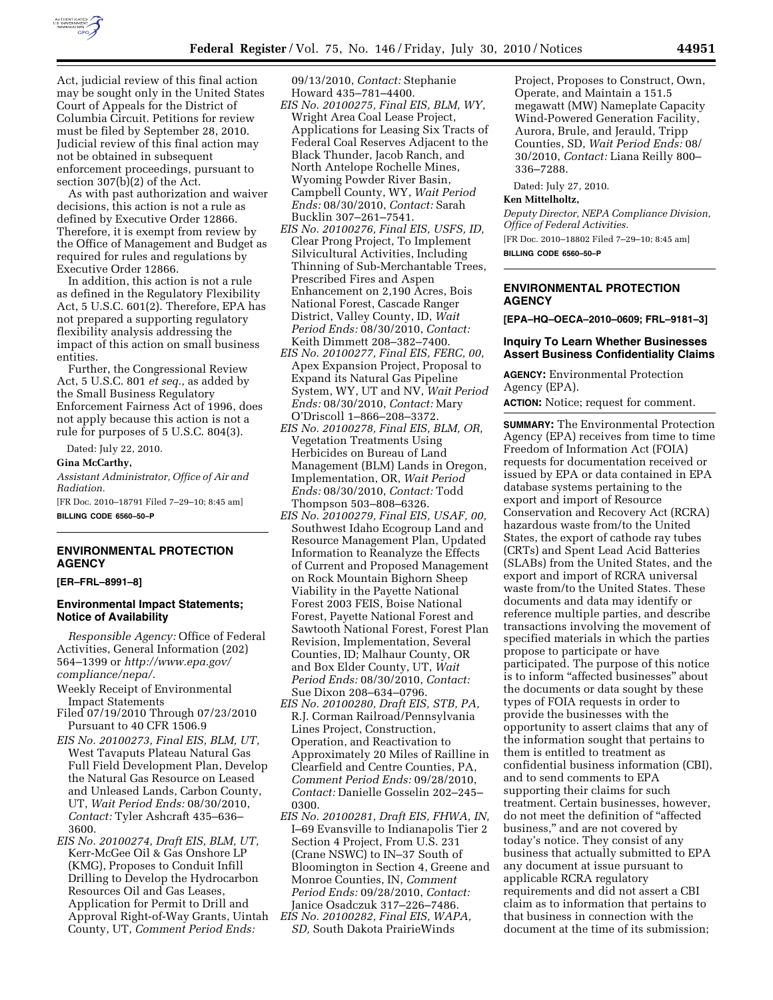

Act, judicial review of this final action may be sought only in the United States Court of Appeals for the District of Columbia Circuit. Petitions for review must be filed by September 28, 2010. Judicial review of this final action may not be obtained in subsequent enforcement proceedings, pursuant to section 307(b)(2) of the Act.

As with past authorization and waiver decisions, this action is not a rule as defined by Executive Order 12866. Therefore, it is exempt from review by the Office of Management and Budget as required for rules and regulations by Executive Order 12866.

In addition, this action is not a rule as defined in the Regulatory Flexibility Act, 5 U.S.C. 601(2). Therefore, EPA has not prepared a supporting regulatory flexibility analysis addressing the impact of this action on small business entities.

Further, the Congressional Review Act, 5 U.S.C. 801 *et seq.,* as added by the Small Business Regulatory Enforcement Fairness Act of 1996, does not apply because this action is not a rule for purposes of 5 U.S.C. 804(3).

Dated: July 22, 2010.

# **Gina McCarthy,**

*Assistant Administrator, Office of Air and Radiation.* 

[FR Doc. 2010–18791 Filed 7–29–10; 8:45 am] **BILLING CODE 6560–50–P** 

# **ENVIRONMENTAL PROTECTION AGENCY**

## **[ER–FRL–8991–8]**

# **Environmental Impact Statements; Notice of Availability**

*Responsible Agency:* Office of Federal Activities, General Information (202) 564–1399 or *[http://www.epa.gov/](http://www.epa.gov/compliance/nepa/) [compliance/nepa/.](http://www.epa.gov/compliance/nepa/)* 

- Weekly Receipt of Environmental Impact Statements
- Filed 07/19/2010 Through 07/23/2010 Pursuant to 40 CFR 1506.9
- *EIS No. 20100273, Final EIS, BLM, UT,*  West Tavaputs Plateau Natural Gas Full Field Development Plan, Develop the Natural Gas Resource on Leased and Unleased Lands, Carbon County, UT, *Wait Period Ends:* 08/30/2010, *Contact:* Tyler Ashcraft 435–636– 3600.
- *EIS No. 20100274, Draft EIS, BLM, UT,*  Kerr-McGee Oil & Gas Onshore LP (KMG), Proposes to Conduit Infill Drilling to Develop the Hydrocarbon Resources Oil and Gas Leases, Application for Permit to Drill and Approval Right-of-Way Grants, Uintah County, UT, *Comment Period Ends:*

09/13/2010, *Contact:* Stephanie Howard 435–781–4400.

- *EIS No. 20100275, Final EIS, BLM, WY,*  Wright Area Coal Lease Project, Applications for Leasing Six Tracts of Federal Coal Reserves Adjacent to the Black Thunder, Jacob Ranch, and North Antelope Rochelle Mines, Wyoming Powder River Basin, Campbell County, WY, *Wait Period Ends:* 08/30/2010, *Contact:* Sarah Bucklin 307–261–7541.
- *EIS No. 20100276, Final EIS, USFS, ID,*  Clear Prong Project, To Implement Silvicultural Activities, Including Thinning of Sub-Merchantable Trees, Prescribed Fires and Aspen Enhancement on 2,190 Acres, Bois National Forest, Cascade Ranger District, Valley County, ID, *Wait Period Ends:* 08/30/2010, *Contact:*  Keith Dimmett 208–382–7400.
- *EIS No. 20100277, Final EIS, FERC, 00,*  Apex Expansion Project, Proposal to Expand its Natural Gas Pipeline System, WY, UT and NV, *Wait Period Ends:* 08/30/2010, *Contact:* Mary O'Driscoll 1–866–208–3372.
- *EIS No. 20100278, Final EIS, BLM, OR,*  Vegetation Treatments Using Herbicides on Bureau of Land Management (BLM) Lands in Oregon, Implementation, OR, *Wait Period Ends:* 08/30/2010, *Contact:* Todd Thompson 503–808–6326.
- *EIS No. 20100279, Final EIS, USAF, 00,*  Southwest Idaho Ecogroup Land and Resource Management Plan, Updated Information to Reanalyze the Effects of Current and Proposed Management on Rock Mountain Bighorn Sheep Viability in the Payette National Forest 2003 FEIS, Boise National Forest, Payette National Forest and Sawtooth National Forest, Forest Plan Revision, Implementation, Several Counties, ID; Malhaur County, OR and Box Elder County, UT, *Wait Period Ends:* 08/30/2010, *Contact:*  Sue Dixon 208–634–0796.
- *EIS No. 20100280, Draft EIS, STB, PA,*  R.J. Corman Railroad/Pennsylvania Lines Project, Construction, Operation, and Reactivation to Approximately 20 Miles of Railline in Clearfield and Centre Counties, PA, *Comment Period Ends:* 09/28/2010, *Contact:* Danielle Gosselin 202–245– 0300.
- *EIS No. 20100281, Draft EIS, FHWA, IN,*  I–69 Evansville to Indianapolis Tier 2 Section 4 Project, From U.S. 231 (Crane NSWC) to IN–37 South of Bloomington in Section 4, Greene and Monroe Counties, IN, *Comment Period Ends:* 09/28/2010, *Contact:*  Janice Osadczuk 317–226–7486.
- *EIS No. 20100282, Final EIS, WAPA, SD,* South Dakota PrairieWinds

Project, Proposes to Construct, Own, Operate, and Maintain a 151.5 megawatt (MW) Nameplate Capacity Wind-Powered Generation Facility, Aurora, Brule, and Jerauld, Tripp Counties, SD, *Wait Period Ends:* 08/ 30/2010, *Contact:* Liana Reilly 800– 336–7288.

Dated: July 27, 2010.

#### **Ken Mittelholtz,**

*Deputy Director, NEPA Compliance Division, Office of Federal Activities.* 

[FR Doc. 2010–18802 Filed 7–29–10; 8:45 am]

**BILLING CODE 6560–50–P** 

# **ENVIRONMENTAL PROTECTION AGENCY**

**[EPA–HQ–OECA–2010–0609; FRL–9181–3]** 

## **Inquiry To Learn Whether Businesses Assert Business Confidentiality Claims**

**AGENCY:** Environmental Protection Agency (EPA).

**ACTION:** Notice; request for comment.

**SUMMARY:** The Environmental Protection Agency (EPA) receives from time to time Freedom of Information Act (FOIA) requests for documentation received or issued by EPA or data contained in EPA database systems pertaining to the export and import of Resource Conservation and Recovery Act (RCRA) hazardous waste from/to the United States, the export of cathode ray tubes (CRTs) and Spent Lead Acid Batteries (SLABs) from the United States, and the export and import of RCRA universal waste from/to the United States. These documents and data may identify or reference multiple parties, and describe transactions involving the movement of specified materials in which the parties propose to participate or have participated. The purpose of this notice is to inform ''affected businesses'' about the documents or data sought by these types of FOIA requests in order to provide the businesses with the opportunity to assert claims that any of the information sought that pertains to them is entitled to treatment as confidential business information (CBI), and to send comments to EPA supporting their claims for such treatment. Certain businesses, however, do not meet the definition of ''affected business,'' and are not covered by today's notice. They consist of any business that actually submitted to EPA any document at issue pursuant to applicable RCRA regulatory requirements and did not assert a CBI claim as to information that pertains to that business in connection with the document at the time of its submission;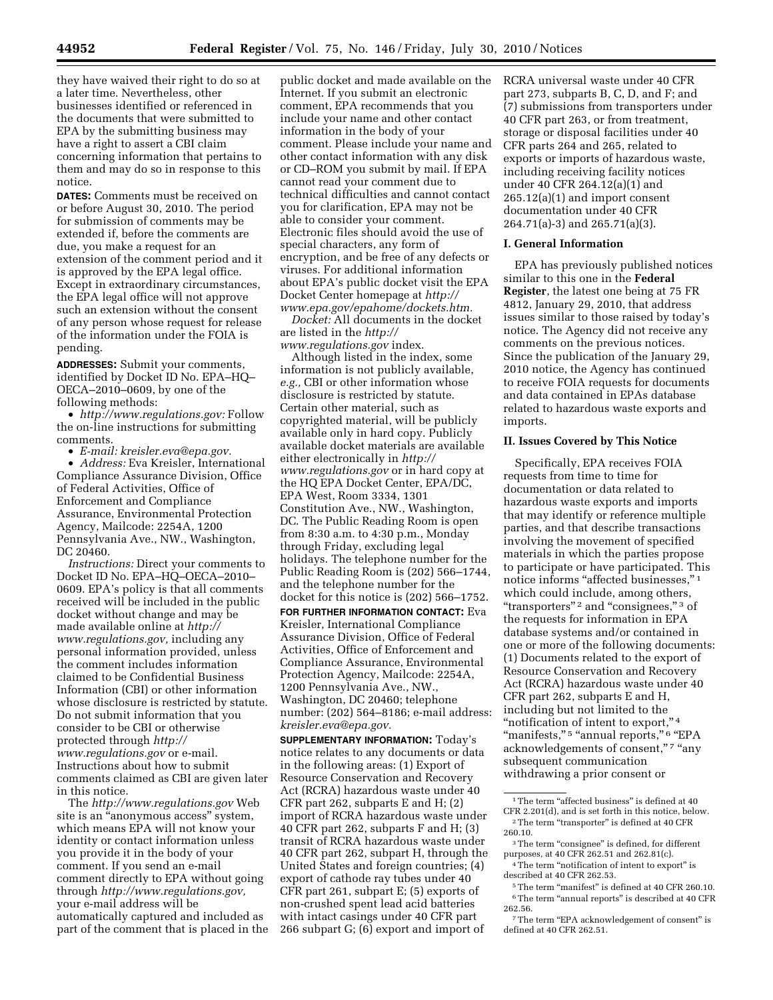they have waived their right to do so at a later time. Nevertheless, other businesses identified or referenced in the documents that were submitted to EPA by the submitting business may have a right to assert a CBI claim concerning information that pertains to them and may do so in response to this notice.

**DATES:** Comments must be received on or before August 30, 2010. The period for submission of comments may be extended if, before the comments are due, you make a request for an extension of the comment period and it is approved by the EPA legal office. Except in extraordinary circumstances, the EPA legal office will not approve such an extension without the consent of any person whose request for release of the information under the FOIA is pending.

**ADDRESSES:** Submit your comments, identified by Docket ID No. EPA–HQ– OECA–2010–0609, by one of the following methods:

• *[http://www.regulations.gov:](http://www.regulations.gov)* Follow the on-line instructions for submitting comments.

• *E-mail: [kreisler.eva@epa.gov.](mailto:kreisler.eva@epa.gov)* 

• *Address:* Eva Kreisler, International Compliance Assurance Division, Office of Federal Activities, Office of Enforcement and Compliance Assurance, Environmental Protection Agency, Mailcode: 2254A, 1200 Pennsylvania Ave., NW., Washington, DC 20460.

*Instructions:* Direct your comments to Docket ID No. EPA–HQ–OECA–2010– 0609. EPA's policy is that all comments received will be included in the public docket without change and may be made available online at *[http://](http://www.regulations.gov)  [www.regulations.gov,](http://www.regulations.gov)* including any personal information provided, unless the comment includes information claimed to be Confidential Business Information (CBI) or other information whose disclosure is restricted by statute. Do not submit information that you consider to be CBI or otherwise protected through *[http://](http://www.regulations.gov)  [www.regulations.gov](http://www.regulations.gov)* or e-mail. Instructions about how to submit comments claimed as CBI are given later in this notice.

The *<http://www.regulations.gov>*Web site is an ''anonymous access'' system, which means EPA will not know your identity or contact information unless you provide it in the body of your comment. If you send an e-mail comment directly to EPA without going through *[http://www.regulations.gov,](http://www.regulations.gov)*  your e-mail address will be automatically captured and included as part of the comment that is placed in the public docket and made available on the Internet. If you submit an electronic comment, EPA recommends that you include your name and other contact information in the body of your comment. Please include your name and other contact information with any disk or CD–ROM you submit by mail. If EPA cannot read your comment due to technical difficulties and cannot contact you for clarification, EPA may not be able to consider your comment. Electronic files should avoid the use of special characters, any form of encryption, and be free of any defects or viruses. For additional information about EPA's public docket visit the EPA Docket Center homepage at *[http://](http://www.epa.gov/epahome/dockets.htm) [www.epa.gov/epahome/dockets.htm.](http://www.epa.gov/epahome/dockets.htm)* 

*Docket:* All documents in the docket are listed in the *[http://](http://www.regulations.gov) [www.regulations.gov](http://www.regulations.gov)* index.

Although listed in the index, some information is not publicly available, *e.g.,* CBI or other information whose disclosure is restricted by statute. Certain other material, such as copyrighted material, will be publicly available only in hard copy. Publicly available docket materials are available either electronically in *[http://](http://www.regulations.gov)  [www.regulations.gov](http://www.regulations.gov)* or in hard copy at the HQ EPA Docket Center, EPA/DC, EPA West, Room 3334, 1301 Constitution Ave., NW., Washington, DC. The Public Reading Room is open from 8:30 a.m. to 4:30 p.m., Monday through Friday, excluding legal holidays. The telephone number for the Public Reading Room is (202) 566–1744, and the telephone number for the docket for this notice is (202) 566–1752. **FOR FURTHER INFORMATION CONTACT:** Eva Kreisler, International Compliance

Assurance Division, Office of Federal Activities, Office of Enforcement and Compliance Assurance, Environmental Protection Agency, Mailcode: 2254A, 1200 Pennsylvania Ave., NW., Washington, DC 20460; telephone number: (202) 564–8186; e-mail address: *[kreisler.eva@epa.gov.](mailto:kreisler.eva@epa.gov)* 

**SUPPLEMENTARY INFORMATION:** Today's notice relates to any documents or data in the following areas: (1) Export of Resource Conservation and Recovery Act (RCRA) hazardous waste under 40 CFR part 262, subparts E and H; (2) import of RCRA hazardous waste under 40 CFR part 262, subparts F and H; (3) transit of RCRA hazardous waste under 40 CFR part 262, subpart H, through the United States and foreign countries; (4) export of cathode ray tubes under 40 CFR part 261, subpart E; (5) exports of non-crushed spent lead acid batteries with intact casings under 40 CFR part 266 subpart G; (6) export and import of

RCRA universal waste under 40 CFR part 273, subparts B, C, D, and F; and (7) submissions from transporters under 40 CFR part 263, or from treatment, storage or disposal facilities under 40 CFR parts 264 and 265, related to exports or imports of hazardous waste, including receiving facility notices under 40 CFR 264.12(a)(1) and 265.12(a)(1) and import consent documentation under 40 CFR 264.71(a)-3) and 265.71(a)(3).

#### **I. General Information**

EPA has previously published notices similar to this one in the **Federal Register**, the latest one being at 75 FR 4812, January 29, 2010, that address issues similar to those raised by today's notice. The Agency did not receive any comments on the previous notices. Since the publication of the January 29, 2010 notice, the Agency has continued to receive FOIA requests for documents and data contained in EPAs database related to hazardous waste exports and imports.

#### **II. Issues Covered by This Notice**

Specifically, EPA receives FOIA requests from time to time for documentation or data related to hazardous waste exports and imports that may identify or reference multiple parties, and that describe transactions involving the movement of specified materials in which the parties propose to participate or have participated. This notice informs "affected businesses," 1 which could include, among others, "transporters"<sup>2</sup> and "consignees,"<sup>3</sup> of the requests for information in EPA database systems and/or contained in one or more of the following documents: (1) Documents related to the export of Resource Conservation and Recovery Act (RCRA) hazardous waste under 40 CFR part 262, subparts E and H, including but not limited to the "notification of intent to export,"<sup>4</sup> "manifests,"<sup>5</sup> "annual reports,"<sup>6</sup> "EPA acknowledgements of consent,"7 "any subsequent communication withdrawing a prior consent or

<sup>&</sup>lt;sup>1</sup>The term "affected business" is defined at 40 CFR 2.201(d), and is set forth in this notice, below.

<sup>&</sup>lt;sup>2</sup>The term "transporter" is defined at 40 CFR 260.10.

<sup>&</sup>lt;sup>3</sup>The term "consignee" is defined, for different purposes, at 40 CFR 262.51 and 262.81(c). <sup>4</sup>The term "notification of intent to export" is

described at 40 CFR 262.53.

<sup>&</sup>lt;sup>5</sup>The term "manifest" is defined at 40 CFR 260.10.  $^6$  The term "annual reports" is described at 40 CFR  $\,$ 262.56.

<sup>&</sup>lt;sup>7</sup>The term "EPA acknowledgement of consent" is defined at 40 CFR 262.51.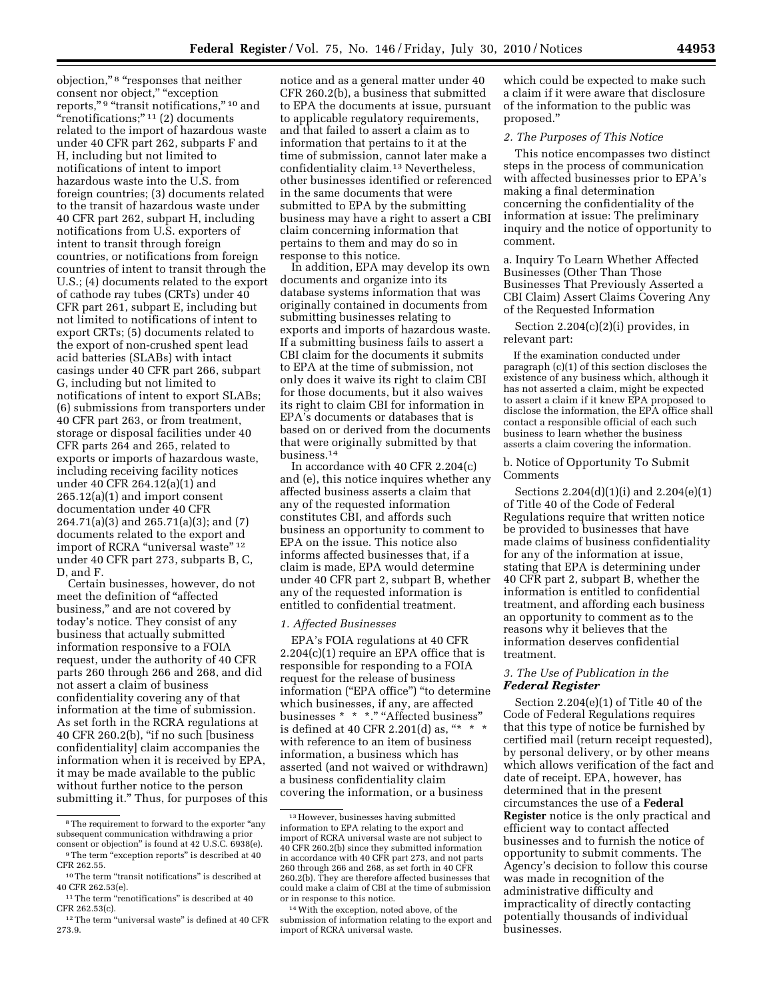objection,"<sup>8</sup> "responses that neither consent nor object," "exception reports,"<sup>9</sup> "transit notifications,"<sup>10</sup> and "renotifications;"<sup>11</sup> (2) documents related to the import of hazardous waste under 40 CFR part 262, subparts F and H, including but not limited to notifications of intent to import hazardous waste into the U.S. from foreign countries; (3) documents related to the transit of hazardous waste under 40 CFR part 262, subpart H, including notifications from U.S. exporters of intent to transit through foreign countries, or notifications from foreign countries of intent to transit through the U.S.; (4) documents related to the export of cathode ray tubes (CRTs) under 40 CFR part 261, subpart E, including but not limited to notifications of intent to export CRTs; (5) documents related to the export of non-crushed spent lead acid batteries (SLABs) with intact casings under 40 CFR part 266, subpart G, including but not limited to notifications of intent to export SLABs; (6) submissions from transporters under 40 CFR part 263, or from treatment, storage or disposal facilities under 40 CFR parts 264 and 265, related to exports or imports of hazardous waste, including receiving facility notices under 40 CFR 264.12(a)(1) and 265.12(a)(1) and import consent documentation under 40 CFR 264.71(a)(3) and 265.71(a)(3); and (7) documents related to the export and import of RCRA "universal waste" 12 under 40 CFR part 273, subparts B, C, D, and F.

Certain businesses, however, do not meet the definition of ''affected business,'' and are not covered by today's notice. They consist of any business that actually submitted information responsive to a FOIA request, under the authority of 40 CFR parts 260 through 266 and 268, and did not assert a claim of business confidentiality covering any of that information at the time of submission. As set forth in the RCRA regulations at 40 CFR 260.2(b), ''if no such [business confidentiality] claim accompanies the information when it is received by EPA, it may be made available to the public without further notice to the person submitting it.'' Thus, for purposes of this

notice and as a general matter under 40 CFR 260.2(b), a business that submitted to EPA the documents at issue, pursuant to applicable regulatory requirements, and that failed to assert a claim as to information that pertains to it at the time of submission, cannot later make a confidentiality claim.13 Nevertheless, other businesses identified or referenced in the same documents that were submitted to EPA by the submitting business may have a right to assert a CBI claim concerning information that pertains to them and may do so in response to this notice.

In addition, EPA may develop its own documents and organize into its database systems information that was originally contained in documents from submitting businesses relating to exports and imports of hazardous waste. If a submitting business fails to assert a CBI claim for the documents it submits to EPA at the time of submission, not only does it waive its right to claim CBI for those documents, but it also waives its right to claim CBI for information in EPA's documents or databases that is based on or derived from the documents that were originally submitted by that business.14

In accordance with 40 CFR 2.204(c) and (e), this notice inquires whether any affected business asserts a claim that any of the requested information constitutes CBI, and affords such business an opportunity to comment to EPA on the issue. This notice also informs affected businesses that, if a claim is made, EPA would determine under 40 CFR part 2, subpart B, whether any of the requested information is entitled to confidential treatment.

#### *1. Affected Businesses*

EPA's FOIA regulations at 40 CFR 2.204(c)(1) require an EPA office that is responsible for responding to a FOIA request for the release of business information (''EPA office'') ''to determine which businesses, if any, are affected businesses \* \* \*.'' ''Affected business'' is defined at 40 CFR 2.201(d) as, "\* \* \* with reference to an item of business information, a business which has asserted (and not waived or withdrawn) a business confidentiality claim covering the information, or a business

which could be expected to make such a claim if it were aware that disclosure of the information to the public was proposed.''

#### *2. The Purposes of This Notice*

This notice encompasses two distinct steps in the process of communication with affected businesses prior to EPA's making a final determination concerning the confidentiality of the information at issue: The preliminary inquiry and the notice of opportunity to comment.

a. Inquiry To Learn Whether Affected Businesses (Other Than Those Businesses That Previously Asserted a CBI Claim) Assert Claims Covering Any of the Requested Information

Section 2.204(c)(2)(i) provides, in relevant part:

If the examination conducted under paragraph (c)(1) of this section discloses the existence of any business which, although it has not asserted a claim, might be expected to assert a claim if it knew EPA proposed to disclose the information, the EPA office shall contact a responsible official of each such business to learn whether the business asserts a claim covering the information.

b. Notice of Opportunity To Submit Comments

Sections 2.204(d)(1)(i) and 2.204(e)(1) of Title 40 of the Code of Federal Regulations require that written notice be provided to businesses that have made claims of business confidentiality for any of the information at issue, stating that EPA is determining under 40 CFR part 2, subpart B, whether the information is entitled to confidential treatment, and affording each business an opportunity to comment as to the reasons why it believes that the information deserves confidential treatment.

# *3. The Use of Publication in the Federal Register*

Section 2.204(e)(1) of Title 40 of the Code of Federal Regulations requires that this type of notice be furnished by certified mail (return receipt requested), by personal delivery, or by other means which allows verification of the fact and date of receipt. EPA, however, has determined that in the present circumstances the use of a **Federal Register** notice is the only practical and efficient way to contact affected businesses and to furnish the notice of opportunity to submit comments. The Agency's decision to follow this course was made in recognition of the administrative difficulty and impracticality of directly contacting potentially thousands of individual businesses.

<sup>&</sup>lt;sup>8</sup>The requirement to forward to the exporter "any subsequent communication withdrawing a prior consent or objection'' is found at 42 U.S.C. 6938(e).

<sup>&</sup>lt;sup>9</sup>The term "exception reports" is described at 40 CFR 262.55.

<sup>&</sup>lt;sup>10</sup>The term "transit notifications" is described at 40 CFR 262.53(e).

<sup>&</sup>lt;sup>11</sup>The term "renotifications" is described at 40 CFR 262.53(c).

<sup>&</sup>lt;sup>12</sup>The term "universal waste" is defined at 40 CFR 273.9.

 $^{\rm 13}\,$  However, businesses having submitted information to EPA relating to the export and import of RCRA universal waste are not subject to 40 CFR 260.2(b) since they submitted information in accordance with 40 CFR part 273, and not parts 260 through 266 and 268, as set forth in 40 CFR 260.2(b). They are therefore affected businesses that could make a claim of CBI at the time of submission or in response to this notice.

<sup>14</sup>With the exception, noted above, of the submission of information relating to the export and import of RCRA universal waste.